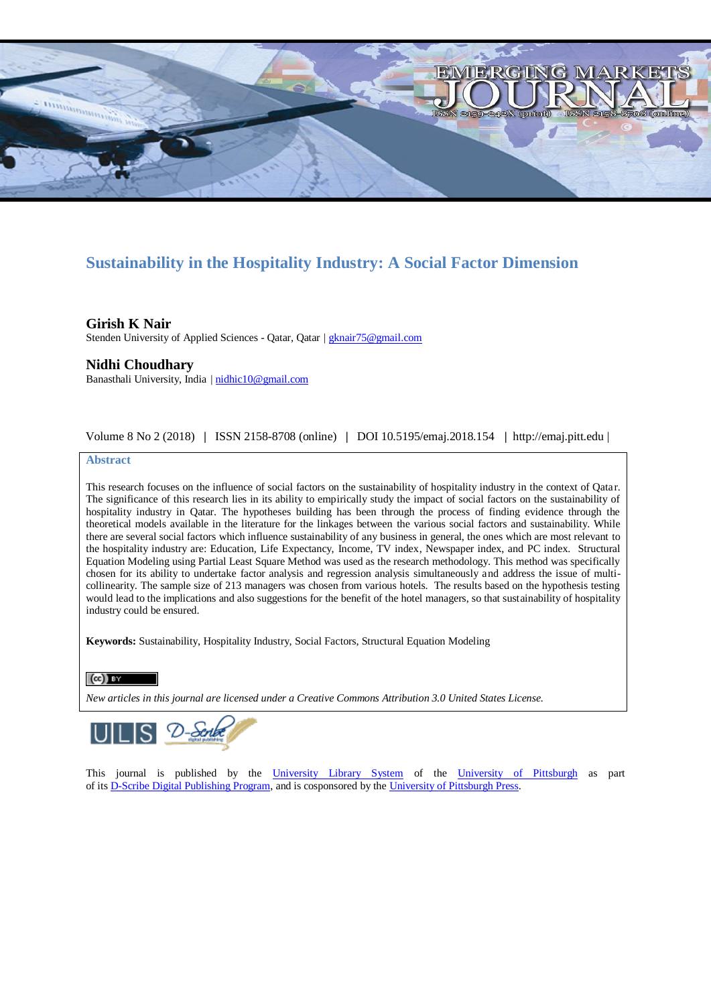

## **Sustainability in the Hospitality Industry: A Social Factor Dimension**

**Girish K Nair** Stenden University of Applied Sciences - Qatar, Qatar | [gknair75@gmail.com](mailto:gknair75@gmail.com)

## **Nidhi Choudhary**

Banasthali University, India [| nidhic10@gmail.com](mailto:nidhic10@gmail.com)

Volume 8 No 2 (2018) **|** ISSN 2158-8708 (online) **|** DOI 10.5195/emaj.2018.154 **|** http://emaj.pitt.edu |

#### **Abstract**

This research focuses on the influence of social factors on the sustainability of hospitality industry in the context of Qatar. The significance of this research lies in its ability to empirically study the impact of social factors on the sustainability of hospitality industry in Qatar. The hypotheses building has been through the process of finding evidence through the theoretical models available in the literature for the linkages between the various social factors and sustainability. While there are several social factors which influence sustainability of any business in general, the ones which are most relevant to the hospitality industry are: Education, Life Expectancy, Income, TV index, Newspaper index, and PC index. Structural Equation Modeling using Partial Least Square Method was used as the research methodology. This method was specifically chosen for its ability to undertake factor analysis and regression analysis simultaneously and address the issue of multicollinearity. The sample size of 213 managers was chosen from various hotels. The results based on the hypothesis testing would lead to the implications and also suggestions for the benefit of the hotel managers, so that sustainability of hospitality industry could be ensured.

**Keywords:** Sustainability, Hospitality Industry, Social Factors, Structural Equation Modeling

### $(cc)$  by

*New articles in this journal are licensed under a Creative Commons Attribution 3.0 United States License.*



This journal is published by the [University Library System](http://www.library.pitt.edu/) of the [University of Pittsburgh](http://www.pitt.edu/) as part of it[s D-Scribe Digital Publishing Program,](http://www.library.pitt.edu/articles/digpubtype/index.html) and is cosponsored by the [University of Pittsburgh Press.](http://www.upress.pitt.edu/upressIndex.aspx)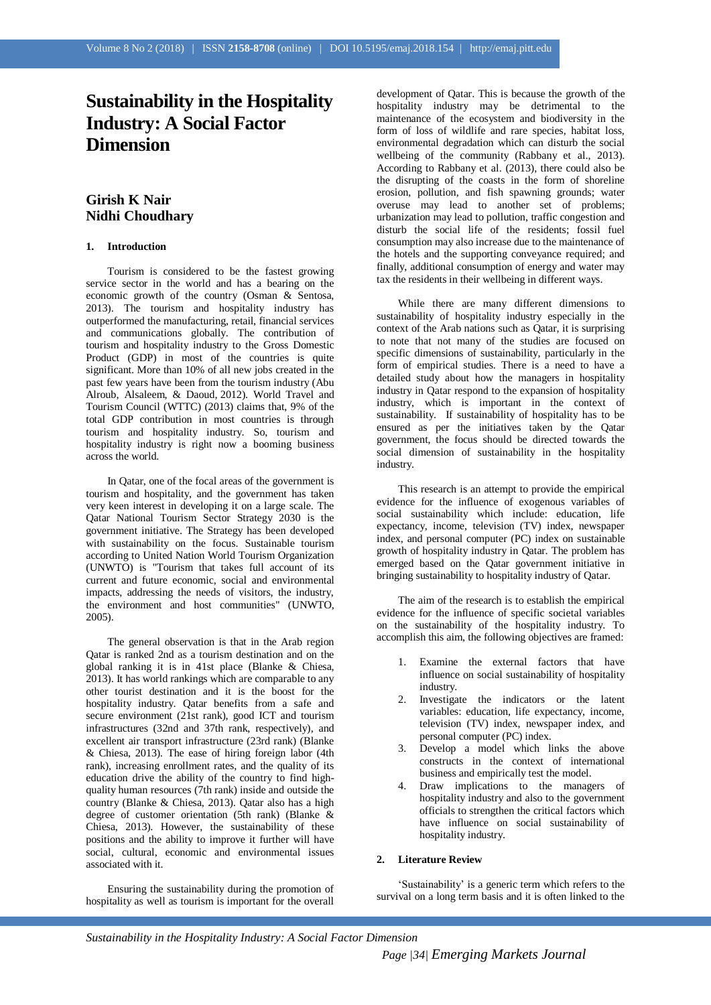# **Sustainability in the Hospitality Industry: A Social Factor Dimension**

## **Girish K Nair Nidhi Choudhary**

#### **1. Introduction**

Tourism is considered to be the fastest growing service sector in the world and has a bearing on the economic growth of the country (Osman & Sentosa, 2013). The tourism and hospitality industry has outperformed the manufacturing, retail, financial services and communications globally. The contribution of tourism and hospitality industry to the Gross Domestic Product (GDP) in most of the countries is quite significant. More than 10% of all new jobs created in the past few years have been from the tourism industry (Abu Alroub, Alsaleem, & Daoud, 2012). World Travel and Tourism Council (WTTC) (2013) claims that, 9% of the total GDP contribution in most countries is through tourism and hospitality industry. So, tourism and hospitality industry is right now a booming business across the world.

In Qatar, one of the focal areas of the government is tourism and hospitality, and the government has taken very keen interest in developing it on a large scale. The Qatar National Tourism Sector Strategy 2030 is the government initiative. The Strategy has been developed with sustainability on the focus. Sustainable tourism according to United Nation World Tourism Organization (UNWTO) is "Tourism that takes full account of its current and future economic, social and environmental impacts, addressing the needs of visitors, the industry, the environment and host communities" (UNWTO, 2005).

The general observation is that in the Arab region Qatar is ranked 2nd as a tourism destination and on the global ranking it is in 41st place (Blanke & Chiesa, 2013). It has world rankings which are comparable to any other tourist destination and it is the boost for the hospitality industry. Qatar benefits from a safe and secure environment (21st rank), good ICT and tourism infrastructures (32nd and 37th rank, respectively), and excellent air transport infrastructure (23rd rank) (Blanke & Chiesa, 2013). The ease of hiring foreign labor (4th rank), increasing enrollment rates, and the quality of its education drive the ability of the country to find highquality human resources (7th rank) inside and outside the country (Blanke & Chiesa, 2013). Qatar also has a high degree of customer orientation (5th rank) (Blanke & Chiesa, 2013). However, the sustainability of these positions and the ability to improve it further will have social, cultural, economic and environmental issues associated with it.

Ensuring the sustainability during the promotion of hospitality as well as tourism is important for the overall

development of Qatar. This is because the growth of the hospitality industry may be detrimental to the maintenance of the ecosystem and biodiversity in the form of loss of wildlife and rare species, habitat loss, environmental degradation which can disturb the social wellbeing of the community (Rabbany et al., 2013). According to Rabbany et al. (2013), there could also be the disrupting of the coasts in the form of shoreline erosion, pollution, and fish spawning grounds; water overuse may lead to another set of problems; urbanization may lead to pollution, traffic congestion and disturb the social life of the residents; fossil fuel consumption may also increase due to the maintenance of the hotels and the supporting conveyance required; and finally, additional consumption of energy and water may tax the residents in their wellbeing in different ways.

While there are many different dimensions to sustainability of hospitality industry especially in the context of the Arab nations such as Qatar, it is surprising to note that not many of the studies are focused on specific dimensions of sustainability, particularly in the form of empirical studies. There is a need to have a detailed study about how the managers in hospitality industry in Qatar respond to the expansion of hospitality industry, which is important in the context of sustainability. If sustainability of hospitality has to be ensured as per the initiatives taken by the Qatar government, the focus should be directed towards the social dimension of sustainability in the hospitality industry.

This research is an attempt to provide the empirical evidence for the influence of exogenous variables of social sustainability which include: education, life expectancy, income, television (TV) index, newspaper index, and personal computer (PC) index on sustainable growth of hospitality industry in Qatar. The problem has emerged based on the Qatar government initiative in bringing sustainability to hospitality industry of Qatar.

The aim of the research is to establish the empirical evidence for the influence of specific societal variables on the sustainability of the hospitality industry. To accomplish this aim, the following objectives are framed:

- 1. Examine the external factors that have influence on social sustainability of hospitality industry.
- 2. Investigate the indicators or the latent variables: education, life expectancy, income, television (TV) index, newspaper index, and personal computer (PC) index.
- 3. Develop a model which links the above constructs in the context of international business and empirically test the model.
- 4. Draw implications to the managers of hospitality industry and also to the government officials to strengthen the critical factors which have influence on social sustainability of hospitality industry.

#### **2. Literature Review**

'Sustainability' is a generic term which refers to the survival on a long term basis and it is often linked to the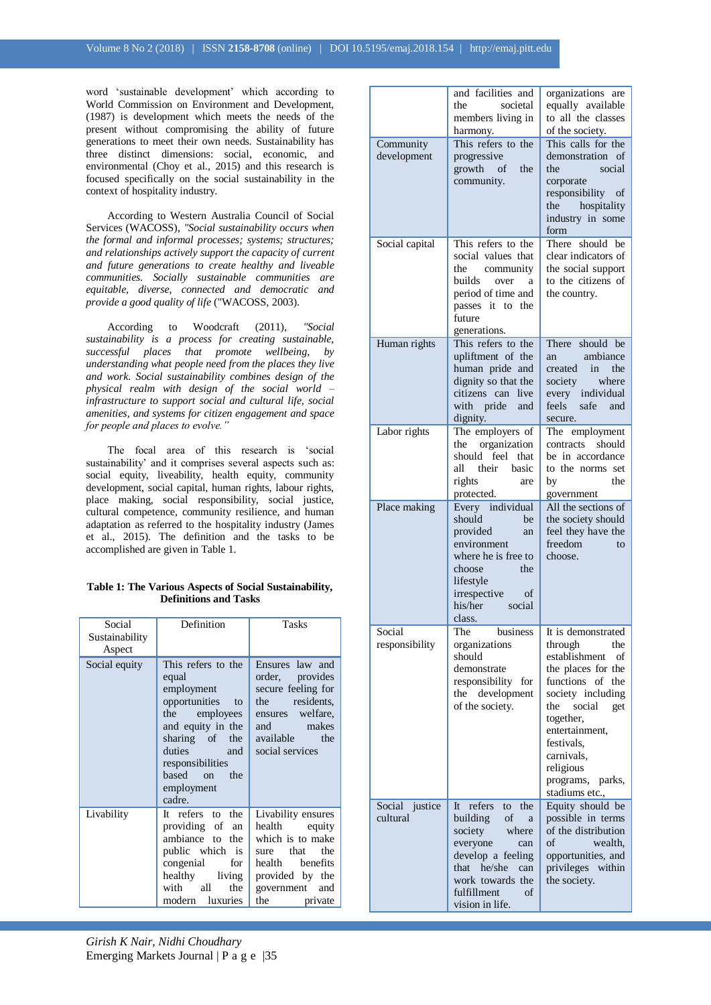word 'sustainable development' which according to World Commission on Environment and Development, (1987) is development which meets the needs of the present without compromising the ability of future generations to meet their own needs. Sustainability has three distinct dimensions: social, economic, and environmental (Choy et al., 2015) and this research is focused specifically on the social sustainability in the context of hospitality industry.

According to Western Australia Council of Social Services (WACOSS), *"Social sustainability occurs when the formal and informal processes; systems; structures; and relationships actively support the capacity of current and future generations to create healthy and liveable communities. Socially sustainable communities are equitable, diverse, connected and democratic and provide a good quality of life* ("WACOSS, 2003).

According to Woodcraft (2011), *"Social sustainability is a process for creating sustainable, successful places that promote wellbeing, by understanding what people need from the places they live and work. Social sustainability combines design of the physical realm with design of the social world – infrastructure to support social and cultural life, social amenities, and systems for citizen engagement and space for people and places to evolve."*

The focal area of this research is 'social sustainability' and it comprises several aspects such as: social equity, liveability, health equity, community development, social capital, human rights, labour rights, place making, social responsibility, social justice, cultural competence, community resilience, and human adaptation as referred to the hospitality industry (James et al., 2015). The definition and the tasks to be accomplished are given in Table 1.

| Table 1: The Various Aspects of Social Sustainability, |  |
|--------------------------------------------------------|--|
| <b>Definitions and Tasks</b>                           |  |

| Social<br>Sustainability<br>Aspect | Definition                                                                                                                                                                                               | Tasks                                                                                                                                                       |
|------------------------------------|----------------------------------------------------------------------------------------------------------------------------------------------------------------------------------------------------------|-------------------------------------------------------------------------------------------------------------------------------------------------------------|
| Social equity                      | This refers to the<br>equal<br>employment<br>opportunities<br>to<br>the employees<br>and equity in the<br>sharing of the<br>duties<br>and<br>responsibilities<br>hased on<br>the<br>employment<br>cadre. | Ensures law and<br>order, provides<br>secure feeling for<br>residents.<br>the<br>ensures welfare.<br>makes<br>and<br>available the<br>social services       |
| Livability                         | It refers to the<br>providing of<br>an<br>ambiance to the<br>public which is<br>congenial<br>for<br>healthy<br>living<br>with all<br>the<br>modern<br>luxuries                                           | Livability ensures<br>health equity<br>which is to make<br>that<br>the<br>sure<br>health benefits<br>provided by the<br>government<br>and<br>the<br>private |

| Community<br>development   | and facilities and<br>the<br>societal<br>members living in<br>harmony.<br>This refers to the<br>progressive<br>growth of<br>the<br>community.                                                                 | organizations<br>are<br>equally available<br>to all the classes<br>of the society.<br>This calls for the<br>demonstration of<br>the<br>social<br>corporate<br>responsibility of<br>hospitality<br>the<br>industry in some<br>form                                |
|----------------------------|---------------------------------------------------------------------------------------------------------------------------------------------------------------------------------------------------------------|------------------------------------------------------------------------------------------------------------------------------------------------------------------------------------------------------------------------------------------------------------------|
| Social capital             | This refers to the<br>social values that<br>the<br>community<br>builds over<br>a<br>period of time and<br>passes it to the<br>future<br>generations.                                                          | There should be<br>clear indicators of<br>the social support<br>to the citizens of<br>the country.                                                                                                                                                               |
| Human rights               | This refers to the<br>upliftment of the<br>human pride and<br>dignity so that the<br>citizens can live<br>with pride<br>and<br>dignity.                                                                       | There should be<br>ambiance<br>an<br>created in the<br>where<br>society<br>every individual<br>feels<br>safe<br>and<br>secure.                                                                                                                                   |
| Labor rights               | The employers of<br>organization<br>the<br>should<br>feel<br>that<br>their basic<br>all<br>rights<br>are<br>protected.                                                                                        | The employment<br>contracts should<br>be in accordance<br>to the norms set<br>the<br>by<br>government                                                                                                                                                            |
| Place making               | Every individual<br>should<br>be<br>provided<br>an<br>environment<br>where he is free to<br>choose<br>the<br>lifestyle<br>irrespective of<br>his/her<br>social<br>class.                                      | All the sections of<br>the society should<br>feel they have the<br>freedom<br>to<br>choose.                                                                                                                                                                      |
| Social<br>responsibility   | business<br>The<br>organizations<br>should<br>demonstrate<br>responsibility<br>for<br>the development<br>of the society.                                                                                      | It is demonstrated<br>through<br>the<br>establishment<br>of<br>the places for the<br>functions of the<br>society including<br>the<br>social<br>get<br>together,<br>entertainment.<br>festivals,<br>carnivals,<br>religious<br>programs, parks,<br>stadiums etc., |
| Social justice<br>cultural | the<br>refers<br>It $\overline{a}$<br>to<br>building<br>of<br>a<br>society<br>where<br>everyone<br>can<br>develop a feeling<br>that he/she<br>can<br>work towards the<br>fulfillment<br>of<br>vision in life. | Equity should be<br>possible in terms<br>of the distribution<br>of<br>wealth,<br>opportunities, and<br>privileges within<br>the society.                                                                                                                         |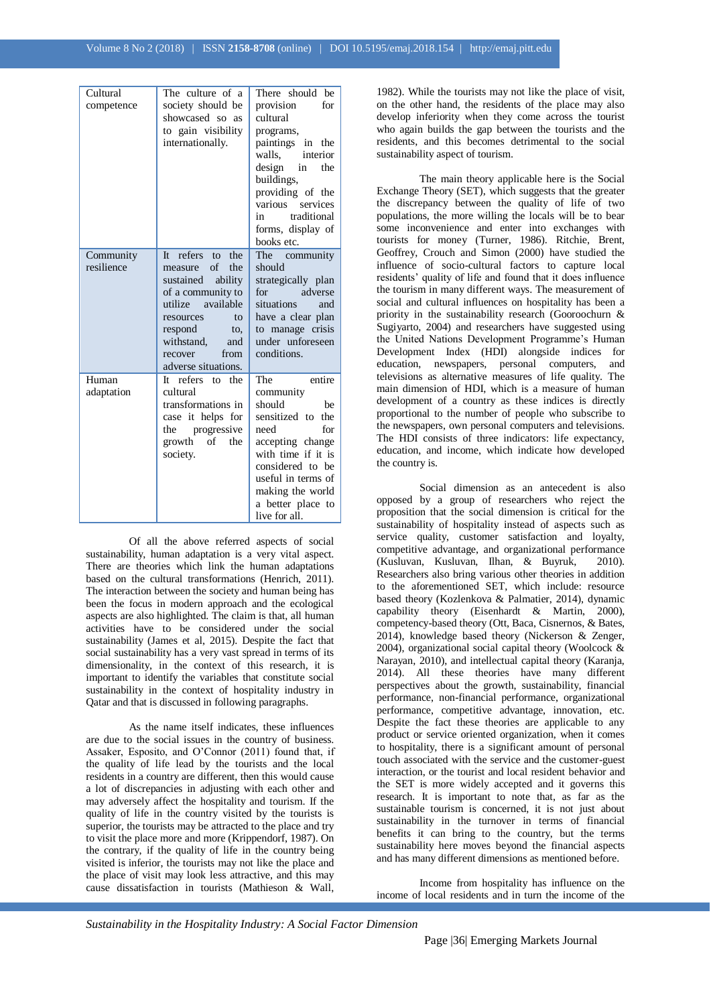| Cultural<br>competence  | The culture of a<br>society should be<br>showcased so as<br>to gain visibility<br>internationally.                                                                                                                   | There should be<br>provision<br>for<br>cultural<br>programs,<br>paintings in the<br>interior<br>walls.<br>design<br>in<br>the<br>buildings,<br>providing of the                                                              |
|-------------------------|----------------------------------------------------------------------------------------------------------------------------------------------------------------------------------------------------------------------|------------------------------------------------------------------------------------------------------------------------------------------------------------------------------------------------------------------------------|
|                         |                                                                                                                                                                                                                      | various<br>services<br>traditional<br>in<br>forms, display of<br>books etc.                                                                                                                                                  |
| Community<br>resilience | refers to<br>It<br>the<br>of<br>the<br>measure<br>ability<br>sustained<br>of a community to<br>utilize available<br>resources<br>to<br>respond<br>to,<br>withstand,<br>and<br>recover<br>from<br>adverse situations. | The<br>community<br>should<br>strategically plan<br>adverse<br>for<br>situations<br>and<br>have a clear plan<br>to manage crisis<br>under unforeseen<br>conditions.                                                          |
| Human<br>adaptation     | It refers to the<br>cultural<br>transformations in<br>case it helps for<br>progressive<br>the<br>growth<br>of<br>the<br>society.                                                                                     | The<br>entire<br>community<br>should<br>be<br>sensitized to the<br>for<br>need<br>accepting change<br>with time if it is<br>considered to be<br>useful in terms of<br>making the world<br>a better place to<br>live for all. |

Of all the above referred aspects of social sustainability, human adaptation is a very vital aspect. There are theories which link the human adaptations based on the cultural transformations (Henrich, 2011). The interaction between the society and human being has been the focus in modern approach and the ecological aspects are also highlighted. The claim is that, all human activities have to be considered under the social sustainability (James et al, 2015). Despite the fact that social sustainability has a very vast spread in terms of its dimensionality, in the context of this research, it is important to identify the variables that constitute social sustainability in the context of hospitality industry in Qatar and that is discussed in following paragraphs.

As the name itself indicates, these influences are due to the social issues in the country of business. Assaker, Esposito, and O'Connor (2011) found that, if the quality of life lead by the tourists and the local residents in a country are different, then this would cause a lot of discrepancies in adjusting with each other and may adversely affect the hospitality and tourism. If the quality of life in the country visited by the tourists is superior, the tourists may be attracted to the place and try to visit the place more and more (Krippendorf, 1987). On the contrary, if the quality of life in the country being visited is inferior, the tourists may not like the place and the place of visit may look less attractive, and this may cause dissatisfaction in tourists (Mathieson & Wall,

1982). While the tourists may not like the place of visit, on the other hand, the residents of the place may also develop inferiority when they come across the tourist who again builds the gap between the tourists and the residents, and this becomes detrimental to the social sustainability aspect of tourism.

The main theory applicable here is the Social Exchange Theory (SET), which suggests that the greater the discrepancy between the quality of life of two populations, the more willing the locals will be to bear some inconvenience and enter into exchanges with tourists for money (Turner, 1986). Ritchie, Brent, Geoffrey, Crouch and Simon (2000) have studied the influence of socio-cultural factors to capture local residents' quality of life and found that it does influence the tourism in many different ways. The measurement of social and cultural influences on hospitality has been a priority in the sustainability research (Gooroochurn & Sugiyarto, 2004) and researchers have suggested using the United Nations Development Programme's Human Development Index (HDI) alongside indices for education, newspapers, personal computers, and televisions as alternative measures of life quality. The main dimension of HDI, which is a measure of human development of a country as these indices is directly proportional to the number of people who subscribe to the newspapers, own personal computers and televisions. The HDI consists of three indicators: life expectancy, education, and income, which indicate how developed the country is.

Social dimension as an antecedent is also opposed by a group of researchers who reject the proposition that the social dimension is critical for the sustainability of hospitality instead of aspects such as service quality, customer satisfaction and loyalty, competitive advantage, and organizational performance (Kusluvan, Kusluvan, Ilhan, & Buyruk, 2010). Researchers also bring various other theories in addition to the aforementioned SET, which include: resource based theory (Kozlenkova & Palmatier, 2014), dynamic capability theory (Eisenhardt & Martin, 2000), competency-based theory (Ott, Baca, Cisnernos, & Bates, 2014), knowledge based theory (Nickerson & Zenger, 2004), organizational social capital theory (Woolcock & Narayan, 2010), and intellectual capital theory (Karanja, 2014). All these theories have many different perspectives about the growth, sustainability, financial performance, non-financial performance, organizational performance, competitive advantage, innovation, etc. Despite the fact these theories are applicable to any product or service oriented organization, when it comes to hospitality, there is a significant amount of personal touch associated with the service and the customer-guest interaction, or the tourist and local resident behavior and the SET is more widely accepted and it governs this research. It is important to note that, as far as the sustainable tourism is concerned, it is not just about sustainability in the turnover in terms of financial benefits it can bring to the country, but the terms sustainability here moves beyond the financial aspects and has many different dimensions as mentioned before.

Income from hospitality has influence on the income of local residents and in turn the income of the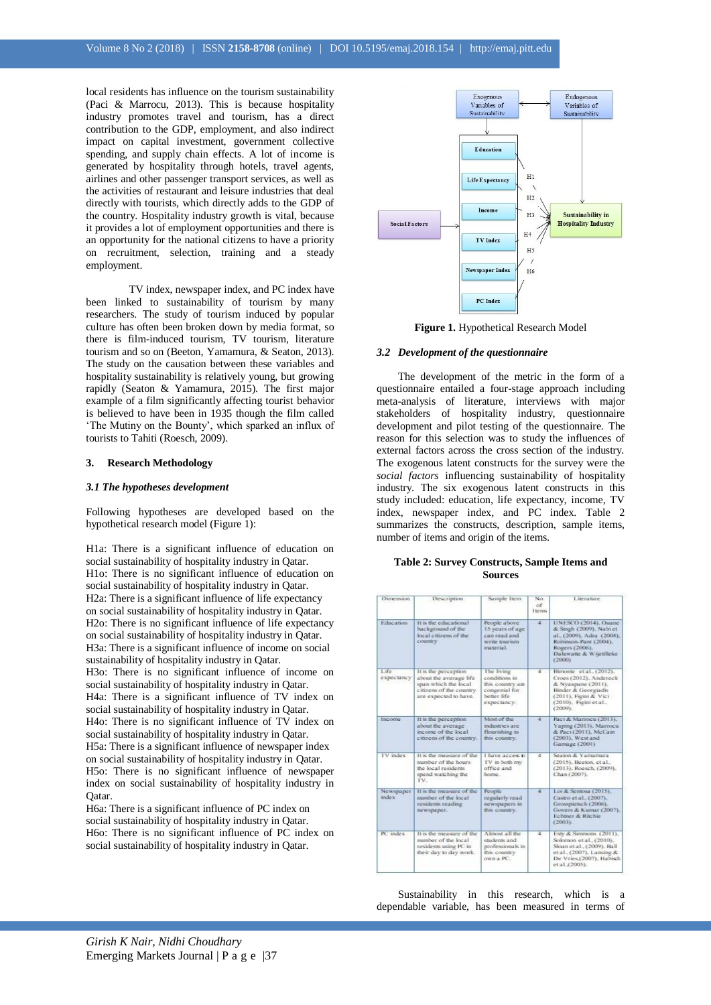local residents has influence on the tourism sustainability (Paci & Marrocu, 2013). This is because hospitality industry promotes travel and tourism, has a direct contribution to the GDP, employment, and also indirect impact on capital investment, government collective spending, and supply chain effects. A lot of income is generated by hospitality through hotels, travel agents, airlines and other passenger transport services, as well as the activities of restaurant and leisure industries that deal directly with tourists, which directly adds to the GDP of the country. Hospitality industry growth is vital, because it provides a lot of employment opportunities and there is an opportunity for the national citizens to have a priority on recruitment, selection, training and a steady employment.

TV index, newspaper index, and PC index have been linked to sustainability of tourism by many researchers. The study of tourism induced by popular culture has often been broken down by media format, so there is film-induced tourism, TV tourism, literature tourism and so on (Beeton, Yamamura, & Seaton, 2013). The study on the causation between these variables and hospitality sustainability is relatively young, but growing rapidly (Seaton & Yamamura, 2015). The first major example of a film significantly affecting tourist behavior is believed to have been in 1935 though the film called 'The Mutiny on the Bounty', which sparked an influx of tourists to Tahiti (Roesch, 2009).

#### **3. Research Methodology**

#### *3.1 The hypotheses development*

Following hypotheses are developed based on the hypothetical research model (Figure 1):

H1a: There is a significant influence of education on social sustainability of hospitality industry in Qatar. H1o: There is no significant influence of education on social sustainability of hospitality industry in Qatar. H2a: There is a significant influence of life expectancy on social sustainability of hospitality industry in Qatar. H2o: There is no significant influence of life expectancy on social sustainability of hospitality industry in Qatar. H3a: There is a significant influence of income on social sustainability of hospitality industry in Qatar. H3o: There is no significant influence of income on social sustainability of hospitality industry in Qatar. H4a: There is a significant influence of TV index on social sustainability of hospitality industry in Qatar. H4o: There is no significant influence of TV index on social sustainability of hospitality industry in Qatar. H5a: There is a significant influence of newspaper index on social sustainability of hospitality industry in Qatar. H5o: There is no significant influence of newspaper index on social sustainability of hospitality industry in Qatar.

H6a: There is a significant influence of PC index on social sustainability of hospitality industry in Qatar. H6o: There is no significant influence of PC index on social sustainability of hospitality industry in Qatar.



**Figure 1.** Hypothetical Research Model

#### *3.2 Development of the questionnaire*

The development of the metric in the form of a questionnaire entailed a four-stage approach including meta-analysis of literature, interviews with major stakeholders of hospitality industry, questionnaire development and pilot testing of the questionnaire. The reason for this selection was to study the influences of external factors across the cross section of the industry. The exogenous latent constructs for the survey were the *social factors* influencing sustainability of hospitality industry. The six exogenous latent constructs in this study included: education, life expectancy, income, TV index, newspaper index, and PC index. Table 2 summarizes the constructs, description, sample items, number of items and origin of the items.

#### **Table 2: Survey Constructs, Sample Items and Sources**

|                                                                                                                              |                                                                                                 | of<br><b>Items</b> |                                                                                                                                                               |
|------------------------------------------------------------------------------------------------------------------------------|-------------------------------------------------------------------------------------------------|--------------------|---------------------------------------------------------------------------------------------------------------------------------------------------------------|
| It is the educational.<br>background of the<br>local citizens of the<br>country.                                             | People above<br>15 years of age<br>can read and<br>write tourism.<br>material                   | $\frac{1}{2}$      | UNESCO (2014), Ouane<br>& Singh (2009). Nabi et<br>al. (2009), Adra (2008),<br>Robinson-Pant (2004).<br>Rogers £2006).<br>Dahowatte & Wijetilleke<br>(2000)   |
| It is the perception<br>about the average life.<br>span which the local<br>citizens of the country.<br>are expected to have. | The living<br>conditions in<br>this country are<br>congenial for<br>better life.<br>expectancy. | $\overline{4}$     | Bimonte et al., (2012).<br>Croes (2012). Andereck<br>& Nyaupane (2011).<br>Binder & Georgiadis<br>(2011), Figini & Vici.<br>(2010). Figure et al.,<br>(2009). |
| It is the perception<br>about the average<br>income of the local.<br>citizens of the country.                                | Most of the<br>industries are<br>flourishing in<br>this country.                                | 41                 | Paci & Marrocu (2013).<br>Yaping (2013), Marrocu<br>& Paci (2011), McCain<br>(2003). West and<br>Gamage (2001)                                                |
| It is the measure of the<br>number of the hours.<br>the local residents.<br>spend watching the<br>TV.                        | I have access to<br>I'V in both my<br>office and<br>home.                                       | 4                  | Seaton & Yamamura<br>(2015). Beeton, et al.,<br>(2013); Roesch. (2009).<br>Chan (2007).                                                                       |
| It is the measure of the<br>number of the local.<br>residents reading<br>newspaper.                                          | People<br>regularly read-<br>newspapers in<br>this country.                                     | 4                  | Loi & Sentosa (2015).<br>Castro et al., (2007).<br>Grossmetsch (2006).<br>Govers & Kamar (2007).<br>Fehtner & Ritchie<br>(2003).                              |
| It is the measure of the<br>number of the local<br>residents using PC in<br>their day to day work.                           | Almost all the<br>students and<br>professionals in<br>this country.<br>own a PC.                | 4                  | Esty & Simmons (2011).<br>Solomon et al., (2010).<br>Sloan et al., (2009). Ball<br>et al., (2007), Lansing &<br>De Vries.(2007). Habich<br>et al. (2005).     |
|                                                                                                                              |                                                                                                 |                    |                                                                                                                                                               |

Sustainability in this research, which is a dependable variable, has been measured in terms of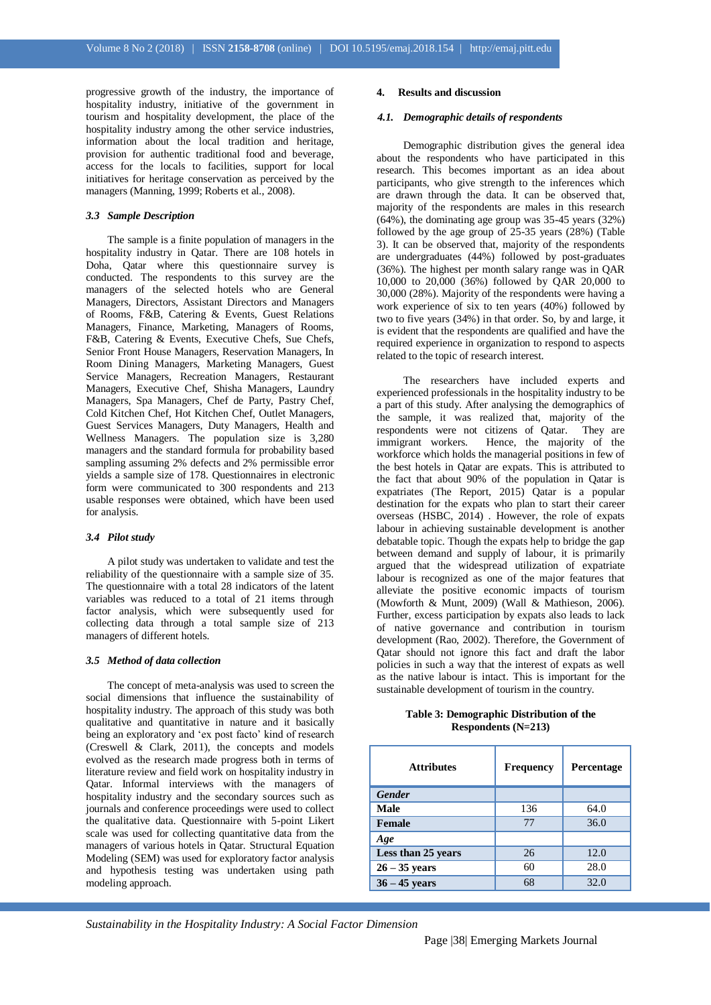progressive growth of the industry, the importance of hospitality industry, initiative of the government in tourism and hospitality development, the place of the hospitality industry among the other service industries, information about the local tradition and heritage, provision for authentic traditional food and beverage, access for the locals to facilities, support for local initiatives for heritage conservation as perceived by the managers (Manning, 1999; Roberts et al., 2008).

#### *3.3 Sample Description*

The sample is a finite population of managers in the hospitality industry in Qatar. There are 108 hotels in Doha, Qatar where this questionnaire survey is conducted. The respondents to this survey are the managers of the selected hotels who are General Managers, Directors, Assistant Directors and Managers of Rooms, F&B, Catering & Events, Guest Relations Managers, Finance, Marketing, Managers of Rooms, F&B, Catering & Events, Executive Chefs, Sue Chefs, Senior Front House Managers, Reservation Managers, In Room Dining Managers, Marketing Managers, Guest Service Managers, Recreation Managers, Restaurant Managers, Executive Chef, Shisha Managers, Laundry Managers, Spa Managers, Chef de Party, Pastry Chef, Cold Kitchen Chef, Hot Kitchen Chef, Outlet Managers, Guest Services Managers, Duty Managers, Health and Wellness Managers. The population size is 3,280 managers and the standard formula for probability based sampling assuming 2% defects and 2% permissible error yields a sample size of 178. Questionnaires in electronic form were communicated to 300 respondents and 213 usable responses were obtained, which have been used for analysis.

#### *3.4 Pilot study*

A pilot study was undertaken to validate and test the reliability of the questionnaire with a sample size of 35. The questionnaire with a total 28 indicators of the latent variables was reduced to a total of 21 items through factor analysis, which were subsequently used for collecting data through a total sample size of 213 managers of different hotels.

#### *3.5 Method of data collection*

The concept of meta-analysis was used to screen the social dimensions that influence the sustainability of hospitality industry. The approach of this study was both qualitative and quantitative in nature and it basically being an exploratory and 'ex post facto' kind of research (Creswell & Clark, 2011), the concepts and models evolved as the research made progress both in terms of literature review and field work on hospitality industry in Qatar. Informal interviews with the managers of hospitality industry and the secondary sources such as journals and conference proceedings were used to collect the qualitative data. Questionnaire with 5-point Likert scale was used for collecting quantitative data from the managers of various hotels in Qatar. Structural Equation Modeling (SEM) was used for exploratory factor analysis and hypothesis testing was undertaken using path modeling approach.

#### **4. Results and discussion**

#### *4.1. Demographic details of respondents*

Demographic distribution gives the general idea about the respondents who have participated in this research. This becomes important as an idea about participants, who give strength to the inferences which are drawn through the data. It can be observed that, majority of the respondents are males in this research (64%), the dominating age group was 35-45 years (32%) followed by the age group of 25-35 years (28%) (Table 3). It can be observed that, majority of the respondents are undergraduates (44%) followed by post-graduates (36%). The highest per month salary range was in QAR 10,000 to 20,000 (36%) followed by QAR 20,000 to 30,000 (28%). Majority of the respondents were having a work experience of six to ten years (40%) followed by two to five years (34%) in that order. So, by and large, it is evident that the respondents are qualified and have the required experience in organization to respond to aspects related to the topic of research interest.

The researchers have included experts and experienced professionals in the hospitality industry to be a part of this study. After analysing the demographics of the sample, it was realized that, majority of the respondents were not citizens of Qatar. They are immigrant workers. Hence, the majority of the workforce which holds the managerial positions in few of the best hotels in Qatar are expats. This is attributed to the fact that about 90% of the population in Qatar is expatriates (The Report, 2015) Qatar is a popular destination for the expats who plan to start their career overseas (HSBC, 2014) . However, the role of expats labour in achieving sustainable development is another debatable topic. Though the expats help to bridge the gap between demand and supply of labour, it is primarily argued that the widespread utilization of expatriate labour is recognized as one of the major features that alleviate the positive economic impacts of tourism (Mowforth & Munt, 2009) (Wall & Mathieson, 2006). Further, excess participation by expats also leads to lack of native governance and contribution in tourism development (Rao, 2002). Therefore, the Government of Qatar should not ignore this fact and draft the labor policies in such a way that the interest of expats as well as the native labour is intact. This is important for the sustainable development of tourism in the country.

**Table 3: Demographic Distribution of the Respondents (N=213)**

| <b>Attributes</b>  | <b>Frequency</b> | Percentage |
|--------------------|------------------|------------|
| <b>Gender</b>      |                  |            |
| Male               | 136              | 64.0       |
| Female             | 77               | 36.0       |
| Age                |                  |            |
| Less than 25 years | 26               | 12.0       |
| $26 - 35$ years    | 60               | 28.0       |
| $36 - 45$ years    | 68               | 32.0       |

*Sustainability in the Hospitality Industry: A Social Factor Dimension*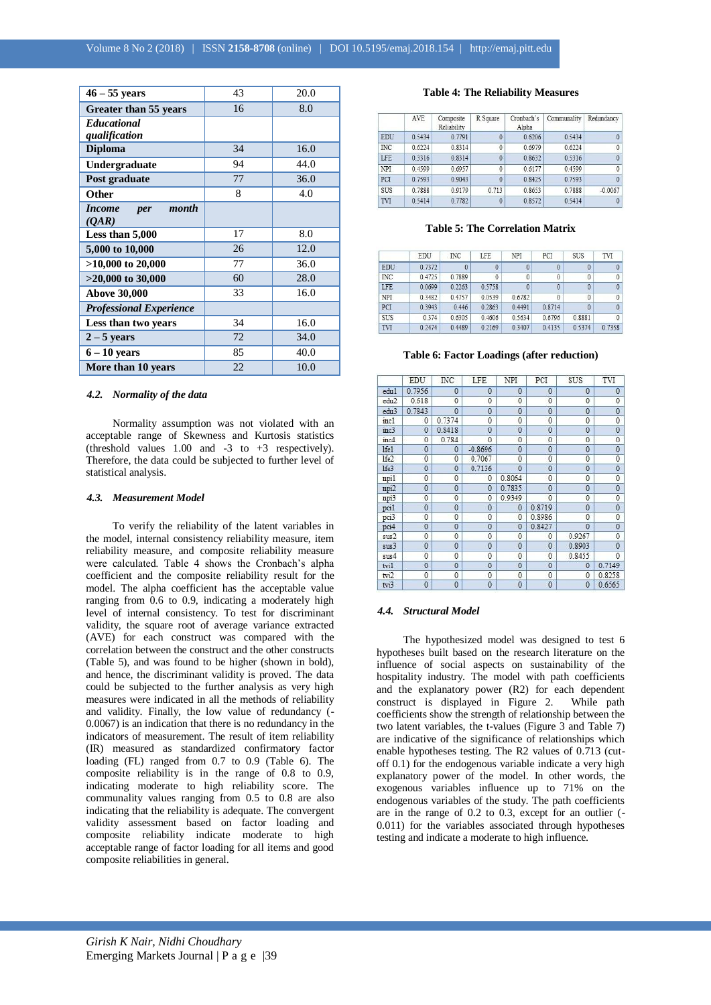| $46 - 55$ years                | 43 | 20.0 |
|--------------------------------|----|------|
| Greater than 55 years          | 16 | 8.0  |
| <b>Educational</b>             |    |      |
| qualification                  |    |      |
| <b>Diploma</b>                 | 34 | 16.0 |
| Undergraduate                  | 94 | 44.0 |
| Post graduate                  | 77 | 36.0 |
| Other                          | 8  | 4.0  |
| <b>Income</b><br>month<br>per  |    |      |
| (OAR)                          |    |      |
| Less than 5,000                | 17 | 8.0  |
| 5,000 to 10,000                | 26 | 12.0 |
| $>10,000$ to 20,000            | 77 | 36.0 |
| $>20,000$ to 30,000            | 60 | 28.0 |
| <b>Above 30,000</b>            | 33 | 16.0 |
| <b>Professional Experience</b> |    |      |
| Less than two years            | 34 | 16.0 |
| $2 - 5$ years                  | 72 | 34.0 |
| $6 - 10$ years                 | 85 | 40.0 |
| More than 10 years             | 22 | 10.0 |

#### *4.2. Normality of the data*

Normality assumption was not violated with an acceptable range of Skewness and Kurtosis statistics (threshold values 1.00 and -3 to +3 respectively). Therefore, the data could be subjected to further level of statistical analysis.

#### *4.3. Measurement Model*

To verify the reliability of the latent variables in the model, internal consistency reliability measure, item reliability measure, and composite reliability measure were calculated. Table 4 shows the Cronbach's alpha coefficient and the composite reliability result for the model. The alpha coefficient has the acceptable value ranging from 0.6 to 0.9, indicating a moderately high level of internal consistency. To test for discriminant validity, the square root of average variance extracted (AVE) for each construct was compared with the correlation between the construct and the other constructs (Table 5), and was found to be higher (shown in bold), and hence, the discriminant validity is proved. The data could be subjected to the further analysis as very high measures were indicated in all the methods of reliability and validity. Finally, the low value of redundancy (- 0.0067) is an indication that there is no redundancy in the indicators of measurement. The result of item reliability (IR) measured as standardized confirmatory factor loading (FL) ranged from 0.7 to 0.9 (Table 6). The composite reliability is in the range of 0.8 to 0.9, indicating moderate to high reliability score. The communality values ranging from 0.5 to 0.8 are also indicating that the reliability is adequate. The convergent validity assessment based on factor loading and composite reliability indicate moderate to high acceptable range of factor loading for all items and good composite reliabilities in general.

#### **Table 4: The Reliability Measures**

| Redundancy     | Communality | Cronbach's<br>Alpha | R Square       | Composite<br>Reliability | <b>AVE</b> |            |
|----------------|-------------|---------------------|----------------|--------------------------|------------|------------|
| $\mathbf{0}$   | 0.5434      | 0.6206              | $\mathbf{0}$   | 0.7791                   | 0.5434     | EDU        |
| $\mathbf{0}$   | 0.6224      | 0.6979              | $\mathbf{0}$   | 0.8314                   | 0.6224     | <b>INC</b> |
| $\mathbf{0}$   | 0.5316      | 0.8632              | $\mathbf{0}$   | 0.8314                   | 0.3316     | LFE        |
| $\overline{0}$ | 0.4599      | 0.6177              | $\mathbf{0}$   | 0.6957                   | 0.4599     | NPI        |
| $\theta$       | 0.7593      | 0.8425              | $\overline{0}$ | 0.9043                   | 0.7593     | PCI        |
| $-0.0067$      | 0.7888      | 0.8653              | 0.713          | 0.9179                   | 0.7888     | <b>SUS</b> |
| $\theta$       | 0.5414      | 0.8572              | $\theta$       | 0.7782                   | 0.5414     | TVI        |
|                |             |                     |                |                          |            |            |

#### **Table 5: The Correlation Matrix**

|            | EDU    | <b>INC</b> | <b>LFE</b>   | NPI      | PCI          | <b>SUS</b>   | TVI          |
|------------|--------|------------|--------------|----------|--------------|--------------|--------------|
| <b>EDU</b> | 0.7372 |            | $\theta$     | $\theta$ |              | $\theta$     |              |
| <b>INC</b> | 0.4725 | 0.7889     | $\mathbf{0}$ | $\theta$ | $\mathbf{0}$ | $\mathbf{0}$ | $\mathbf{0}$ |
| <b>LFE</b> | 0.0699 | 0.2263     | 0.5758       | $\theta$ | 0            | $\theta$     |              |
| NPI        | 0.3482 | 04757      | 0.0539       | 0.6782   | $\theta$     | $\theta$     | $\theta$     |
| PCI        | 0.3943 | 0.446      | 0.2863       | 0.4491   | 0.8714       | $\theta$     | $\theta$     |
| <b>SUS</b> | 0.374  | 0.6305     | 0.4606       | 0.5634   | 0.6796       | 0.8881       |              |
| TVI        | 0.2474 | 0.4489     | 0.2169       | 0.3407   | 0.4135       | 0.5374       | 0.7358       |

#### **Table 6: Factor Loadings (after reduction)**

|                  | EDU                 | INC            | LFE            | NPI            | PCI            | SUS            | TVI            |
|------------------|---------------------|----------------|----------------|----------------|----------------|----------------|----------------|
| edu1             | 0.7956              | $\overline{0}$ | $\overline{0}$ | $\overline{0}$ | $\overline{0}$ | $\overline{0}$ | $\overline{0}$ |
| edu <sub>2</sub> | 0.618               | $\mathbf 0$    | 0              | $\theta$       | $\theta$       | 0              | 0              |
| edu3             | 0.7843              | $\overline{0}$ | $\mathbf{0}$   | $\overline{0}$ | $\overline{0}$ | $\overline{0}$ | $\overline{0}$ |
| inc1             | 0                   | 0.7374         | 0              | 0              | 0              | $\mathbf 0$    | 0              |
| inc3             | $\mathbf 0$         | 0.8418         | $\mathbf 0$    | $\mathbf 0$    | $\mathbf{0}$   | $\overline{0}$ | $\mathbf 0$    |
| inc4             | 0                   | 0.784          | 0              | 0              | 0              | 0              | 0              |
| lfe1             | $\mathbf{0}$        | $\mathbf{0}$   | $-0.8696$      | $\mathbf{0}$   | $\mathbf{0}$   | $\overline{0}$ | $\mathbf{0}$   |
| lfe2             | 0                   | 0              | 0.7067         | $\theta$       | 0              | 0              | 0              |
| lfe3             | $\mathbf{0}$        | $\mathbf{0}$   | 0.7136         | $\mathbf{0}$   | $\mathbf{0}$   | $\mathbf{0}$   | $\mathbf 0$    |
| npi1             | $\overline{0}$      | $\mathbf 0$    | 0              | 0.8064         | $\overline{0}$ | $\overline{0}$ | $\overline{0}$ |
| npi2             | $\mathbf{0}$        | $\mathbf{0}$   | $\mathbf{0}$   | 0.7835         | $\mathbf{0}$   | $\mathbf{0}$   | $\mathbf{0}$   |
| npi3             | $\overline{0}$      | $\mathbf{0}$   | 0              | 0.9349         | $\bf{0}$       | 0              | 0              |
| pci1             | $\overline{0}$      | $\mathbf{0}$   | $\theta$       | $\mathbf 0$    | 0.8719         | $\mathbf 0$    | $\mathbf 0$    |
| pci3             | $\ddot{\mathbf{0}}$ | $\mathbf{0}$   | $\mathbf{0}$   | $\mathbf{0}$   | 0.8986         | 0              | 0              |
| pci4             | $\mathbf{0}$        | $\mathbf 0$    | 0              | $\mathbf{0}$   | 0.8427         | $\bf{0}$       | 0              |
| sus2             | $\mathbf 0$         | 0              | 0              | $\theta$       | 0              | 0.9267         | 0              |
| sus3             | $\overline{0}$      | $\overline{0}$ | $\overline{0}$ | $\mathbf 0$    | $\theta$       | 0.8903         | $\bf{0}$       |
| sus4             | $\mathbf{0}$        | 0              | $\theta$       | $\theta$       | $\theta$       | 0.8455         | $\mathbf{0}$   |
| tvi1             | $\overline{0}$      | $\overline{0}$ | $\overline{0}$ | $\overline{0}$ | $\mathbf{0}$   | 0              | 0.7149         |
| tvi2             | 0                   | $\mathbf 0$    | 0              | 0              | 0              | 0              | 0.8258         |
| tri3             | $\bf{0}$            | $\mathbf{0}$   | $\bf{0}$       | $\bf{0}$       | $\overline{0}$ | $\overline{0}$ | 0.6565         |

#### *4.4. Structural Model*

The hypothesized model was designed to test 6 hypotheses built based on the research literature on the influence of social aspects on sustainability of the hospitality industry. The model with path coefficients and the explanatory power (R2) for each dependent construct is displayed in Figure 2. While path  $\frac{1}{2}$  construct is displayed in Figure 2. coefficients show the strength of relationship between the two latent variables, the t-values (Figure 3 and Table 7) are indicative of the significance of relationships which enable hypotheses testing. The R2 values of 0.713 (cutoff 0.1) for the endogenous variable indicate a very high explanatory power of the model. In other words, the exogenous variables influence up to 71% on the endogenous variables of the study. The path coefficients are in the range of 0.2 to 0.3, except for an outlier (- 0.011) for the variables associated through hypotheses testing and indicate a moderate to high influence.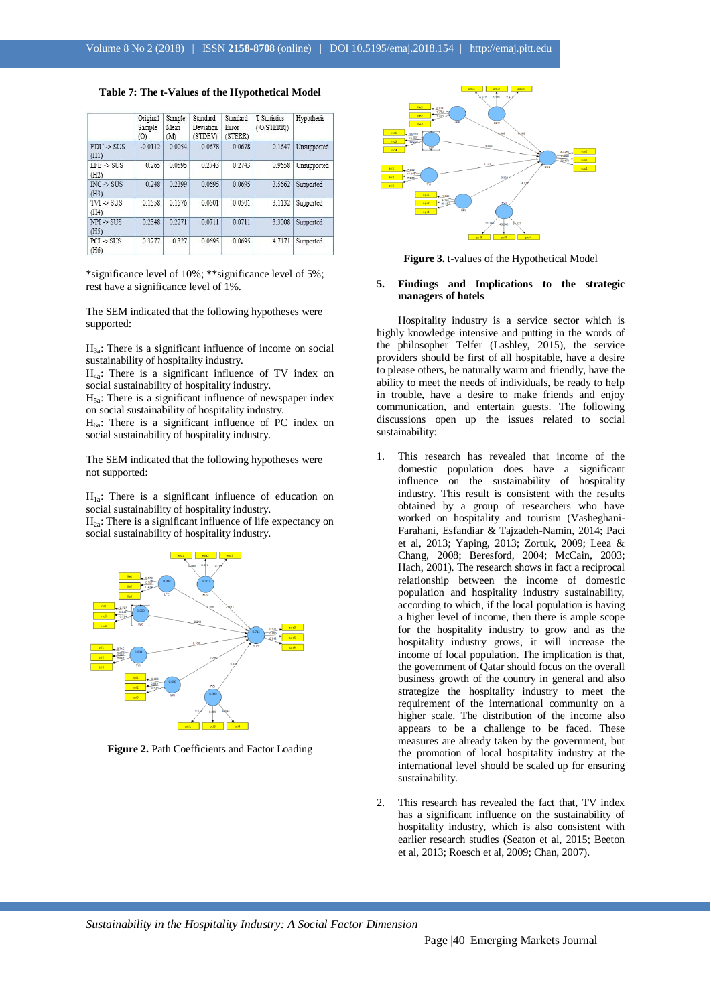#### **Table 7: The t-Values of the Hypothetical Model**

|                               | Original<br>Sample<br>(0) | Sample<br>Mean<br>(M) | Standard<br>Deviation<br>(STDEV) | Standard<br>Error<br>(STERR) | T Statistics<br>$($ (O $'$ STERR) | Hypothesis  |
|-------------------------------|---------------------------|-----------------------|----------------------------------|------------------------------|-----------------------------------|-------------|
| $EDU \rightarrow SUS$<br>(H1) | $-0.0112$                 | 0.0054                | 0.0678                           | 0.0678                       | 0.1647                            | Unsupported |
| $LFE$ -> SUS<br>(H2)          | 0.265                     | 0.0595                | 0.2743                           | 0.2743                       | 0.9658                            | Unsupported |
| $INC$ -> SUS<br>(H3)          | 0.248                     | 0.2399                | 0.0695                           | 0.0695                       | 3.5662                            | Supported   |
| $TVI \rightarrow SUS$<br>(H4) | 0.1558                    | 0.1576                | 0.0501                           | 0.0501                       | 3.1132                            | Supported   |
| $NPI \rightarrow SUS$<br>(H5) | 0.2348                    | 0 2271                | 0 0 7 1 1                        | 0.0711                       | 3.3008                            | Supported   |
| $PCI \rightarrow SUS$<br>(H6) | 0.3277                    | 0.327                 | 0.0695                           | 0.0695                       | 4.7171                            | Supported   |

\*significance level of 10%; \*\*significance level of 5%; rest have a significance level of 1%.

The SEM indicated that the following hypotheses were supported:

 $H_{3a}$ : There is a significant influence of income on social sustainability of hospitality industry.

 $H_{4a}$ : There is a significant influence of TV index on social sustainability of hospitality industry.

 $H<sub>5a</sub>$ : There is a significant influence of newspaper index on social sustainability of hospitality industry.

 $H<sub>6a</sub>$ : There is a significant influence of PC index on social sustainability of hospitality industry.

The SEM indicated that the following hypotheses were not supported:

 $H_{1a}$ : There is a significant influence of education on social sustainability of hospitality industry.

 $H_{2a}$ : There is a significant influence of life expectancy on social sustainability of hospitality industry.



**Figure 2.** Path Coefficients and Factor Loading



**Figure 3.** t-values of the Hypothetical Model

#### **5. Findings and Implications to the strategic managers of hotels**

Hospitality industry is a service sector which is highly knowledge intensive and putting in the words of the philosopher Telfer (Lashley, 2015), the service providers should be first of all hospitable, have a desire to please others, be naturally warm and friendly, have the ability to meet the needs of individuals, be ready to help in trouble, have a desire to make friends and enjoy communication, and entertain guests. The following discussions open up the issues related to social sustainability:

- 1. This research has revealed that income of the domestic population does have a significant influence on the sustainability of hospitality industry. This result is consistent with the results obtained by a group of researchers who have worked on hospitality and tourism (Vasheghani-Farahani, Esfandiar & Tajzadeh-Namin, 2014; Paci et al, 2013; Yaping, 2013; Zortuk, 2009; Leea & Chang, 2008; Beresford, 2004; McCain, 2003; Hach, 2001). The research shows in fact a reciprocal relationship between the income of domestic population and hospitality industry sustainability, according to which, if the local population is having a higher level of income, then there is ample scope for the hospitality industry to grow and as the hospitality industry grows, it will increase the income of local population. The implication is that, the government of Qatar should focus on the overall business growth of the country in general and also strategize the hospitality industry to meet the requirement of the international community on a higher scale. The distribution of the income also appears to be a challenge to be faced. These measures are already taken by the government, but the promotion of local hospitality industry at the international level should be scaled up for ensuring sustainability.
- 2. This research has revealed the fact that, TV index has a significant influence on the sustainability of hospitality industry, which is also consistent with earlier research studies (Seaton et al, 2015; Beeton et al, 2013; Roesch et al, 2009; Chan, 2007).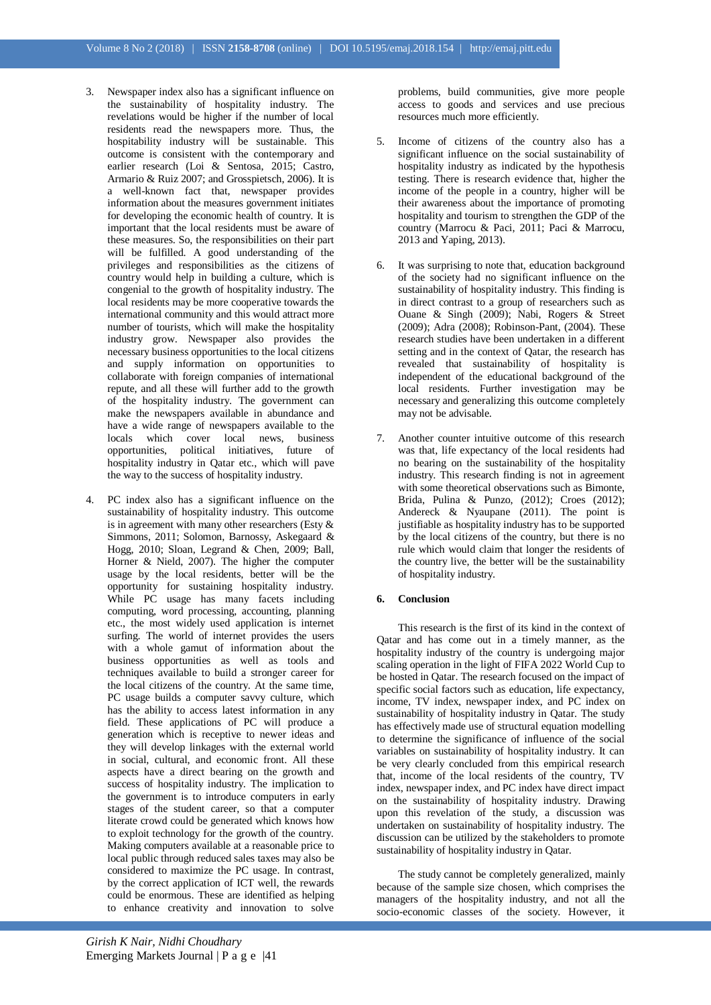- 3. Newspaper index also has a significant influence on the sustainability of hospitality industry. The revelations would be higher if the number of local residents read the newspapers more. Thus, the hospitability industry will be sustainable. This outcome is consistent with the contemporary and earlier research (Loi & Sentosa, 2015; Castro, Armario & Ruiz 2007; and Grosspietsch, 2006). It is a well-known fact that, newspaper provides information about the measures government initiates for developing the economic health of country. It is important that the local residents must be aware of these measures. So, the responsibilities on their part will be fulfilled. A good understanding of the privileges and responsibilities as the citizens of country would help in building a culture, which is congenial to the growth of hospitality industry. The local residents may be more cooperative towards the international community and this would attract more number of tourists, which will make the hospitality industry grow. Newspaper also provides the necessary business opportunities to the local citizens and supply information on opportunities to collaborate with foreign companies of international repute, and all these will further add to the growth of the hospitality industry. The government can make the newspapers available in abundance and have a wide range of newspapers available to the locals which cover local news, business opportunities, political initiatives, future of hospitality industry in Qatar etc., which will pave the way to the success of hospitality industry.
- 4. PC index also has a significant influence on the sustainability of hospitality industry. This outcome is in agreement with many other researchers (Esty & Simmons, 2011; Solomon, Barnossy, Askegaard & Hogg, 2010; Sloan, Legrand & Chen, 2009; Ball, Horner & Nield, 2007). The higher the computer usage by the local residents, better will be the opportunity for sustaining hospitality industry. While PC usage has many facets including computing, word processing, accounting, planning etc., the most widely used application is internet surfing. The world of internet provides the users with a whole gamut of information about the business opportunities as well as tools and techniques available to build a stronger career for the local citizens of the country. At the same time, PC usage builds a computer savvy culture, which has the ability to access latest information in any field. These applications of PC will produce a generation which is receptive to newer ideas and they will develop linkages with the external world in social, cultural, and economic front. All these aspects have a direct bearing on the growth and success of hospitality industry. The implication to the government is to introduce computers in early stages of the student career, so that a computer literate crowd could be generated which knows how to exploit technology for the growth of the country. Making computers available at a reasonable price to local public through reduced sales taxes may also be considered to maximize the PC usage. In contrast, by the correct application of ICT well, the rewards could be enormous. These are identified as helping to enhance creativity and innovation to solve

problems, build communities, give more people access to goods and services and use precious resources much more efficiently.

- 5. Income of citizens of the country also has a significant influence on the social sustainability of hospitality industry as indicated by the hypothesis testing. There is research evidence that, higher the income of the people in a country, higher will be their awareness about the importance of promoting hospitality and tourism to strengthen the GDP of the country (Marrocu & Paci, 2011; Paci & Marrocu, 2013 and Yaping, 2013).
- 6. It was surprising to note that, education background of the society had no significant influence on the sustainability of hospitality industry. This finding is in direct contrast to a group of researchers such as Ouane & Singh (2009); Nabi, Rogers & Street (2009); Adra (2008); Robinson-Pant, (2004). These research studies have been undertaken in a different setting and in the context of Qatar, the research has revealed that sustainability of hospitality is independent of the educational background of the local residents. Further investigation may be necessary and generalizing this outcome completely may not be advisable.
- 7. Another counter intuitive outcome of this research was that, life expectancy of the local residents had no bearing on the sustainability of the hospitality industry. This research finding is not in agreement with some theoretical observations such as Bimonte, Brida, Pulina & Punzo, (2012); Croes (2012); Andereck & Nyaupane (2011). The point is justifiable as hospitality industry has to be supported by the local citizens of the country, but there is no rule which would claim that longer the residents of the country live, the better will be the sustainability of hospitality industry.

#### **6. Conclusion**

This research is the first of its kind in the context of Qatar and has come out in a timely manner, as the hospitality industry of the country is undergoing major scaling operation in the light of FIFA 2022 World Cup to be hosted in Qatar. The research focused on the impact of specific social factors such as education, life expectancy, income, TV index, newspaper index, and PC index on sustainability of hospitality industry in Qatar. The study has effectively made use of structural equation modelling to determine the significance of influence of the social variables on sustainability of hospitality industry. It can be very clearly concluded from this empirical research that, income of the local residents of the country, TV index, newspaper index, and PC index have direct impact on the sustainability of hospitality industry. Drawing upon this revelation of the study, a discussion was undertaken on sustainability of hospitality industry. The discussion can be utilized by the stakeholders to promote sustainability of hospitality industry in Qatar.

The study cannot be completely generalized, mainly because of the sample size chosen, which comprises the managers of the hospitality industry, and not all the socio-economic classes of the society. However, it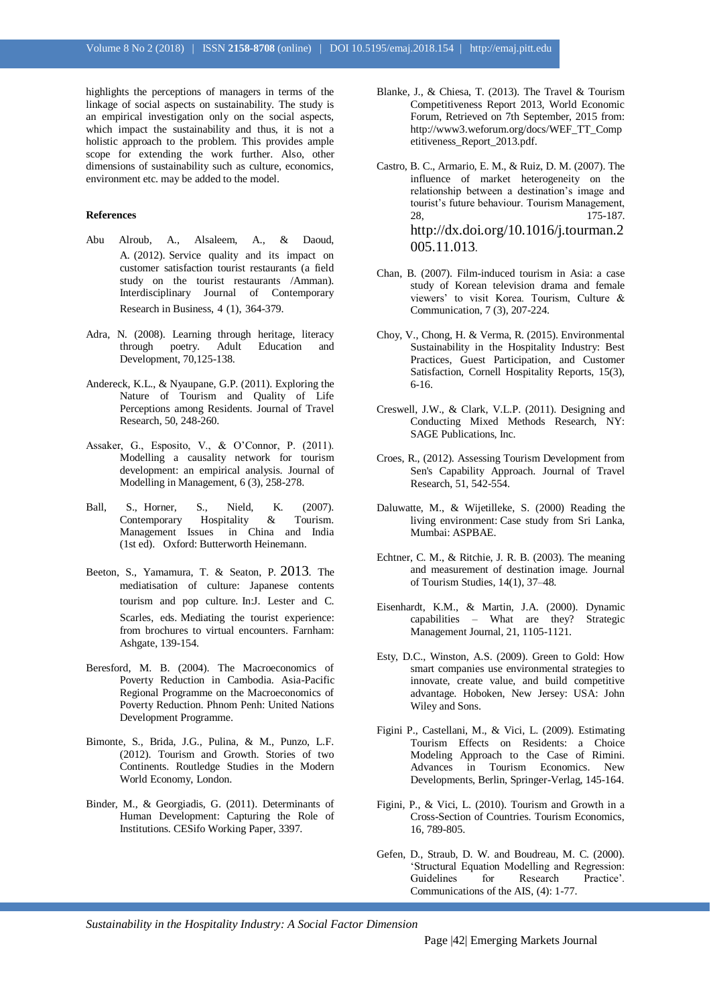highlights the perceptions of managers in terms of the linkage of social aspects on sustainability. The study is an empirical investigation only on the social aspects, which impact the sustainability and thus, it is not a holistic approach to the problem. This provides ample scope for extending the work further. Also, other dimensions of sustainability such as culture, economics, environment etc. may be added to the model.

#### **References**

- Abu Alroub, A., Alsaleem, A., & Daoud, A. (2012). Service quality and its impact on customer satisfaction tourist restaurants (a field study on the tourist restaurants /Amman). Interdisciplinary Journal of Contemporary Research in Business, 4 (1), 364-379.
- Adra, N. (2008). Learning through heritage, literacy through poetry. Adult Education and Development, 70,125-138.
- Andereck, K.L., & Nyaupane, G.P. (2011). Exploring the Nature of Tourism and Quality of Life Perceptions among Residents. Journal of Travel Research, 50, 248-260.
- Assaker, G., Esposito, V., & O'Connor, P. (2011). Modelling a causality network for tourism development: an empirical analysis. Journal of Modelling in Management, 6 (3), 258-278.
- Ball, S., Horner, S., Nield, K. (2007). Contemporary Hospitality & Tourism. Management Issues in China and India (1st ed). Oxford: Butterworth Heinemann.
- Beeton, S., Yamamura, T. & Seaton, P. 2013. The mediatisation of culture: Japanese contents tourism and pop culture. In:J. Lester and C. Scarles, eds. Mediating the tourist experience: from brochures to virtual encounters. Farnham: Ashgate, 139-154.
- Beresford, M. B. (2004). The Macroeconomics of Poverty Reduction in Cambodia. Asia-Pacific Regional Programme on the Macroeconomics of Poverty Reduction. Phnom Penh: United Nations Development Programme.
- Bimonte, S., Brida, J.G., Pulina, & M., Punzo, L.F. (2012). Tourism and Growth. Stories of two Continents. Routledge Studies in the Modern World Economy, London.
- Binder, M., & Georgiadis, G. (2011). Determinants of Human Development: Capturing the Role of Institutions. CESifo Working Paper, 3397.
- Blanke, J., & Chiesa, T. (2013). The Travel & Tourism Competitiveness Report 2013, World Economic Forum, Retrieved on 7th September, 2015 from: [http://www3.weforum.org/docs/WEF\\_TT\\_Comp](http://www3.weforum.org/docs/WEF_TT_Competitiveness_Report_2013.pdf) [etitiveness\\_Report\\_2013.pdf.](http://www3.weforum.org/docs/WEF_TT_Competitiveness_Report_2013.pdf)
- Castro, B. C., Armario, E. M., & Ruiz, D. M. (2007). The influence of market heterogeneity on the relationship between a destination's image and tourist's future behaviour. Tourism Management, 28, 175-187. [http://dx.doi.org/10.1016/j.tourman.2](http://dx.doi.org/10.1016/j.tourman.2005.11.013) [005.11.013](http://dx.doi.org/10.1016/j.tourman.2005.11.013).
- Chan, B. (2007). Film-induced tourism in Asia: a case study of Korean television drama and female viewers' to visit Korea. Tourism, Culture & Communication, 7 (3), 207-224.
- Choy, V., Chong, H. & Verma, R. (2015). Environmental Sustainability in the Hospitality Industry: Best Practices, Guest Participation, and Customer Satisfaction, Cornell Hospitality Reports, 15(3), 6-16.
- Creswell, J.W., & Clark, V.L.P. (2011). Designing and Conducting Mixed Methods Research, NY: SAGE Publications, Inc.
- Croes, R., (2012). Assessing Tourism Development from Sen's Capability Approach. Journal of Travel Research, 51, 542-554.
- Daluwatte, M., & Wijetilleke, S. (2000) Reading the living environment: Case study from Sri Lanka, Mumbai: ASPBAE.
- Echtner, C. M., & Ritchie, J. R. B. (2003). The meaning and measurement of destination image. Journal of Tourism Studies, 14(1), 37–48.
- Eisenhardt, K.M., & Martin, J.A. (2000). Dynamic capabilities – What are they? Strategic Management Journal, 21, 1105-1121.
- Esty, D.C., Winston, A.S. (2009). Green to Gold: How smart companies use environmental strategies to innovate, create value, and build competitive advantage. Hoboken, New Jersey: USA: John Wiley and Sons.
- Figini P., Castellani, M., & Vici, L. (2009). Estimating Tourism Effects on Residents: a Choice Modeling Approach to the Case of Rimini. Advances in Tourism Economics. New Developments, Berlin, Springer-Verlag, 145-164.
- Figini, P., & Vici, L. (2010). Tourism and Growth in a Cross-Section of Countries. Tourism Economics, 16, 789-805.
- Gefen, D., Straub, D. W. and Boudreau, M. C. (2000). 'Structural Equation Modelling and Regression: Guidelines for Research Practice'. Communications of the AIS, (4): 1-77.

*Sustainability in the Hospitality Industry: A Social Factor Dimension*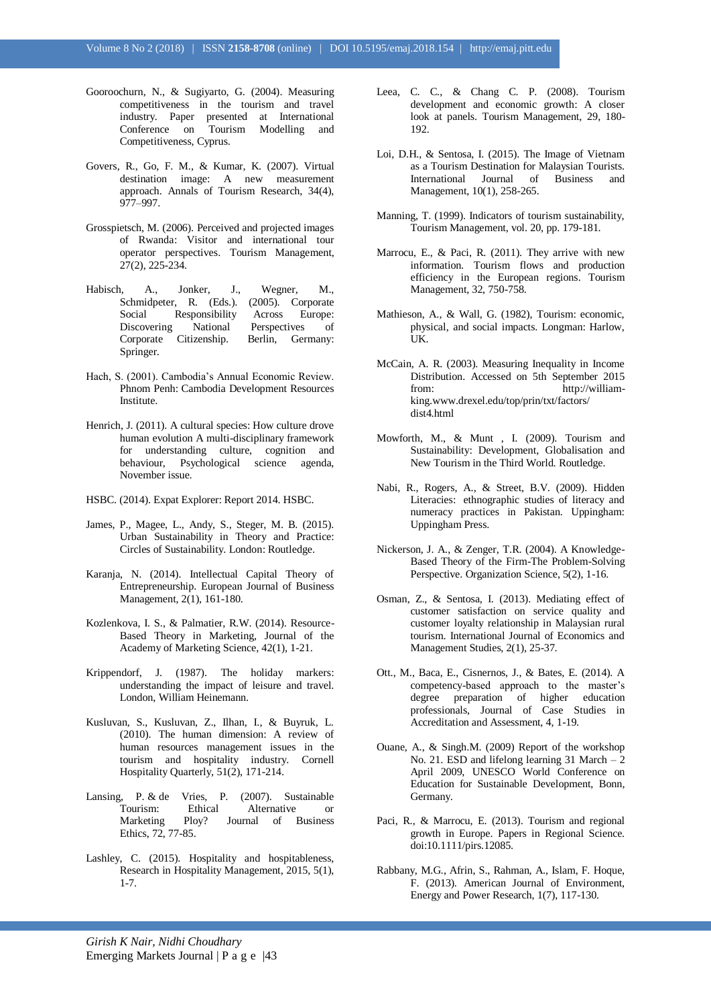- Gooroochurn, N., & Sugiyarto, G. (2004). Measuring competitiveness in the tourism and travel industry. Paper presented at International Conference on Tourism Modelling and Competitiveness, Cyprus.
- Govers, R., Go, F. M., & Kumar, K. (2007). Virtual destination image: A new measurement approach. Annals of Tourism Research, 34(4), 977–997.
- Grosspietsch, M. (2006). Perceived and projected images of Rwanda: Visitor and international tour operator perspectives. Tourism Management, 27(2), 225-234.
- Habisch, A., Jonker, J., Wegner, M., Schmidpeter, R. (Eds.). (2005). Corporate Social Responsibility Across Europe: Discovering National Perspectives of Corporate Citizenship. Berlin, Germany: Springer.
- Hach, S. (2001). Cambodia's Annual Economic Review. Phnom Penh: Cambodia Development Resources Institute.
- Henrich, J. (2011). A cultural species: How culture drove human evolution A multi-disciplinary framework for understanding culture, cognition and behaviour, Psychological science agenda, November issue.
- HSBC. (2014). Expat Explorer: Report 2014. HSBC.
- James, P., Magee, L., Andy, S., Steger, M. B. (2015). Urban Sustainability in Theory and Practice: Circles of Sustainability. London: Routledge.
- Karanja, N. (2014). Intellectual Capital Theory of Entrepreneurship. European Journal of Business Management, 2(1), 161-180.
- Kozlenkova, I. S., & Palmatier, R.W. (2014). Resource-Based Theory in Marketing, Journal of the Academy of Marketing Science, 42(1), 1-21.
- Krippendorf, J. (1987). The holiday markers: understanding the impact of leisure and travel. London, William Heinemann.
- Kusluvan, S., Kusluvan, Z., Ilhan, I., & Buyruk, L. (2010). The human dimension: A review of human resources management issues in the tourism and hospitality industry. Cornell Hospitality Quarterly, 51(2), 171-214.
- Lansing, P. & de Vries, P. (2007). Sustainable Tourism: Ethical Alternative or<br>Marketing Ploy? Journal of Business Ploy? Journal of Business Ethics, 72, 77-85.
- Lashley, C. (2015). Hospitality and hospitableness, Research in Hospitality Management, 2015, 5(1), 1-7.
- Leea, C. C., & Chang C. P. (2008). Tourism development and economic growth: A closer look at panels. Tourism Management, 29, 180- 192.
- Loi, D.H., & Sentosa, I. (2015). The Image of Vietnam as a Tourism Destination for Malaysian Tourists. International Journal of Business and Management, 10(1), 258-265.
- Manning, T. (1999). Indicators of tourism sustainability, Tourism Management, vol. 20, pp. 179-181.
- Marrocu, E., & Paci, R. (2011). They arrive with new information. Tourism flows and production efficiency in the European regions. Tourism Management, 32, 750-758.
- Mathieson, A., & Wall, G. (1982), Tourism: economic, physical, and social impacts. Longman: Harlow, UK.
- McCain, A. R. (2003). Measuring Inequality in Income Distribution. Accessed on 5th September 2015 from: http://williamking.www.drexel.edu/top/prin/txt/factors/ dist4.html
- Mowforth, M., & Munt , I. (2009). Tourism and Sustainability: Development, Globalisation and New Tourism in the Third World. Routledge.
- Nabi, R., Rogers, A., & Street, B.V. (2009). Hidden Literacies: ethnographic studies of literacy and numeracy practices in Pakistan. Uppingham: Uppingham Press.
- Nickerson, J. A., & Zenger, T.R. (2004). A Knowledge-Based Theory of the Firm-The Problem-Solving Perspective. Organization Science, 5(2), 1-16.
- Osman, Z., & Sentosa, I. (2013). Mediating effect of customer satisfaction on service quality and customer loyalty relationship in Malaysian rural tourism. International Journal of Economics and Management Studies, 2(1), 25-37.
- Ott., M., Baca, E., Cisnernos, J., & Bates, E. (2014). A competency-based approach to the master's degree preparation of higher education professionals, Journal of Case Studies in Accreditation and Assessment, 4, 1-19.
- Ouane, A., & Singh.M. (2009) Report of the workshop No. 21. ESD and lifelong learning 31 March – 2 April 2009, UNESCO World Conference on Education for Sustainable Development, Bonn, Germany.
- Paci, R., & Marrocu, E. (2013). Tourism and regional growth in Europe. Papers in Regional Science. doi:10.1111/pirs.12085.
- Rabbany, M.G., Afrin, S., Rahman, A., Islam, F. Hoque, F. (2013). American Journal of Environment, Energy and Power Research, 1(7), 117-130.